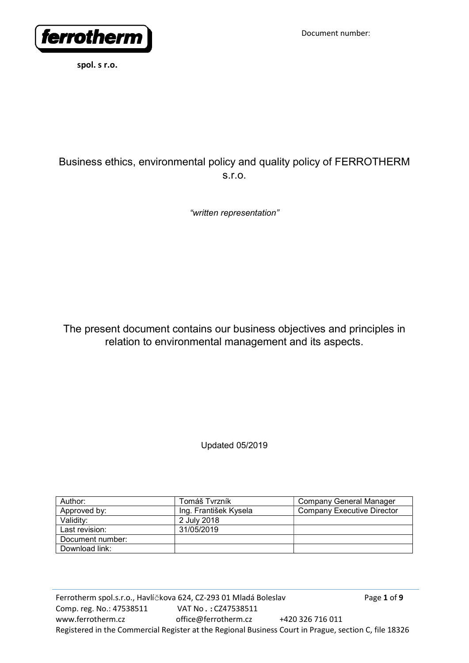

# Business ethics, environmental policy and quality policy of FERROTHERM s.r.o.

"written representation"

The present document contains our business objectives and principles in relation to environmental management and its aspects.

Updated 05/2019

| Author:          | Tomáš Tvrzník         | Company General Manager    |
|------------------|-----------------------|----------------------------|
| Approved by:     | Ing. František Kysela | Company Executive Director |
| Validity:        | 2 July 2018           |                            |
| Last revision:   | 31/05/2019            |                            |
| Document number: |                       |                            |
| Download link:   |                       |                            |

Ferrotherm spol.s.r.o., Havlíčkova 624, CZ-293 01 Mladá Boleslav Page 1 of 9 Comp. reg. No.: 47538511 VAT No.:CZ47538511 www.ferrotherm.cz office@ferrotherm.cz +420 326 716 011 Registered in the Commercial Register at the Regional Business Court in Prague, section C, file 18326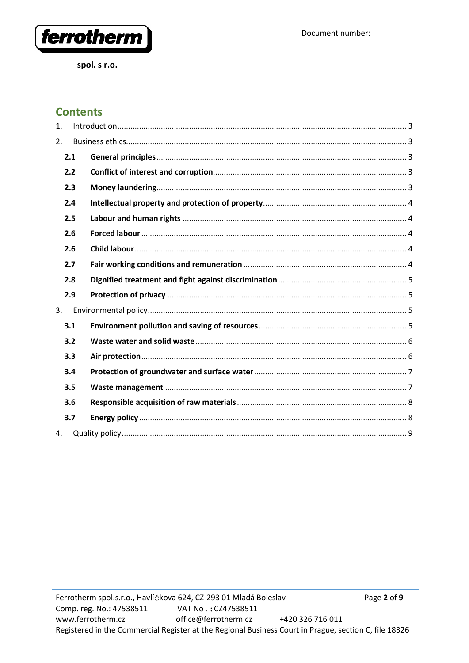

# **Contents**

| 1. |     |  |
|----|-----|--|
| 2. |     |  |
|    | 2.1 |  |
|    | 2.2 |  |
|    | 2.3 |  |
|    | 2.4 |  |
|    | 2.5 |  |
|    | 2.6 |  |
|    | 2.6 |  |
|    | 2.7 |  |
|    | 2.8 |  |
|    | 2.9 |  |
| 3. |     |  |
|    | 3.1 |  |
|    | 3.2 |  |
|    | 3.3 |  |
|    | 3.4 |  |
|    | 3.5 |  |
|    | 3.6 |  |
|    | 3.7 |  |
| 4. |     |  |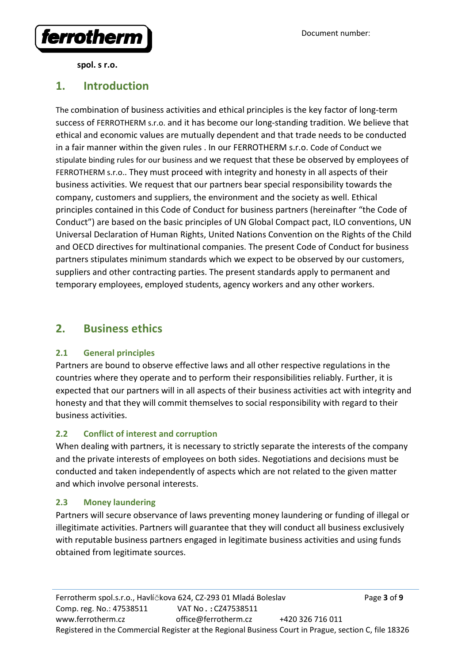

# 1. Introduction

The combination of business activities and ethical principles is the key factor of long-term success of FERROTHERM s.r.o. and it has become our long-standing tradition. We believe that ethical and economic values are mutually dependent and that trade needs to be conducted in a fair manner within the given rules . In our FERROTHERM s.r.o. Code of Conduct we stipulate binding rules for our business and we request that these be observed by employees of FERROTHERM s.r.o.. They must proceed with integrity and honesty in all aspects of their business activities. We request that our partners bear special responsibility towards the company, customers and suppliers, the environment and the society as well. Ethical principles contained in this Code of Conduct for business partners (hereinafter "the Code of Conduct") are based on the basic principles of UN Global Compact pact, ILO conventions, UN Universal Declaration of Human Rights, United Nations Convention on the Rights of the Child and OECD directives for multinational companies. The present Code of Conduct for business partners stipulates minimum standards which we expect to be observed by our customers, suppliers and other contracting parties. The present standards apply to permanent and temporary employees, employed students, agency workers and any other workers.

# 2. Business ethics

### 2.1 General principles

Partners are bound to observe effective laws and all other respective regulations in the countries where they operate and to perform their responsibilities reliably. Further, it is expected that our partners will in all aspects of their business activities act with integrity and honesty and that they will commit themselves to social responsibility with regard to their business activities.

## 2.2 Conflict of interest and corruption

When dealing with partners, it is necessary to strictly separate the interests of the company and the private interests of employees on both sides. Negotiations and decisions must be conducted and taken independently of aspects which are not related to the given matter and which involve personal interests.

### 2.3 Money laundering

Partners will secure observance of laws preventing money laundering or funding of illegal or illegitimate activities. Partners will guarantee that they will conduct all business exclusively with reputable business partners engaged in legitimate business activities and using funds obtained from legitimate sources.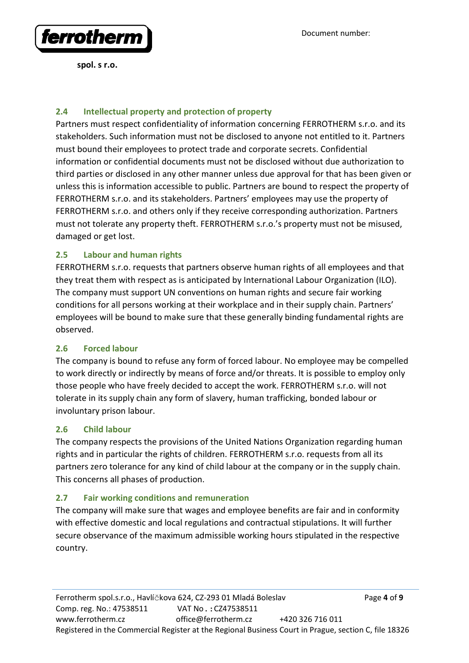

Document number:

spol. s r.o.

### 2.4 Intellectual property and protection of property

Partners must respect confidentiality of information concerning FERROTHERM s.r.o. and its stakeholders. Such information must not be disclosed to anyone not entitled to it. Partners must bound their employees to protect trade and corporate secrets. Confidential information or confidential documents must not be disclosed without due authorization to third parties or disclosed in any other manner unless due approval for that has been given or unless this is information accessible to public. Partners are bound to respect the property of FERROTHERM s.r.o. and its stakeholders. Partners' employees may use the property of FERROTHERM s.r.o. and others only if they receive corresponding authorization. Partners must not tolerate any property theft. FERROTHERM s.r.o.'s property must not be misused, damaged or get lost.

### 2.5 Labour and human rights

FERROTHERM s.r.o. requests that partners observe human rights of all employees and that they treat them with respect as is anticipated by International Labour Organization (ILO). The company must support UN conventions on human rights and secure fair working conditions for all persons working at their workplace and in their supply chain. Partners' employees will be bound to make sure that these generally binding fundamental rights are observed.

### 2.6 Forced labour

The company is bound to refuse any form of forced labour. No employee may be compelled to work directly or indirectly by means of force and/or threats. It is possible to employ only those people who have freely decided to accept the work. FERROTHERM s.r.o. will not tolerate in its supply chain any form of slavery, human trafficking, bonded labour or involuntary prison labour.

### 2.6 Child labour

The company respects the provisions of the United Nations Organization regarding human rights and in particular the rights of children. FERROTHERM s.r.o. requests from all its partners zero tolerance for any kind of child labour at the company or in the supply chain. This concerns all phases of production.

### 2.7 Fair working conditions and remuneration

The company will make sure that wages and employee benefits are fair and in conformity with effective domestic and local regulations and contractual stipulations. It will further secure observance of the maximum admissible working hours stipulated in the respective country.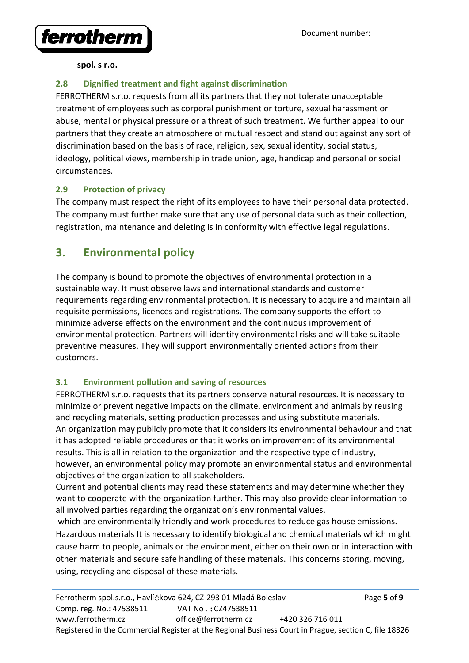

# 2.8 Dignified treatment and fight against discrimination

FERROTHERM s.r.o. requests from all its partners that they not tolerate unacceptable treatment of employees such as corporal punishment or torture, sexual harassment or abuse, mental or physical pressure or a threat of such treatment. We further appeal to our partners that they create an atmosphere of mutual respect and stand out against any sort of discrimination based on the basis of race, religion, sex, sexual identity, social status, ideology, political views, membership in trade union, age, handicap and personal or social circumstances.

## 2.9 Protection of privacy

The company must respect the right of its employees to have their personal data protected. The company must further make sure that any use of personal data such as their collection, registration, maintenance and deleting is in conformity with effective legal regulations.

# 3. Environmental policy

The company is bound to promote the objectives of environmental protection in a sustainable way. It must observe laws and international standards and customer requirements regarding environmental protection. It is necessary to acquire and maintain all requisite permissions, licences and registrations. The company supports the effort to minimize adverse effects on the environment and the continuous improvement of environmental protection. Partners will identify environmental risks and will take suitable preventive measures. They will support environmentally oriented actions from their customers.

# 3.1 Environment pollution and saving of resources

FERROTHERM s.r.o. requests that its partners conserve natural resources. It is necessary to minimize or prevent negative impacts on the climate, environment and animals by reusing and recycling materials, setting production processes and using substitute materials. An organization may publicly promote that it considers its environmental behaviour and that it has adopted reliable procedures or that it works on improvement of its environmental results. This is all in relation to the organization and the respective type of industry, however, an environmental policy may promote an environmental status and environmental objectives of the organization to all stakeholders.

Current and potential clients may read these statements and may determine whether they want to cooperate with the organization further. This may also provide clear information to all involved parties regarding the organization's environmental values.

 which are environmentally friendly and work procedures to reduce gas house emissions. Hazardous materials It is necessary to identify biological and chemical materials which might cause harm to people, animals or the environment, either on their own or in interaction with other materials and secure safe handling of these materials. This concerns storing, moving, using, recycling and disposal of these materials.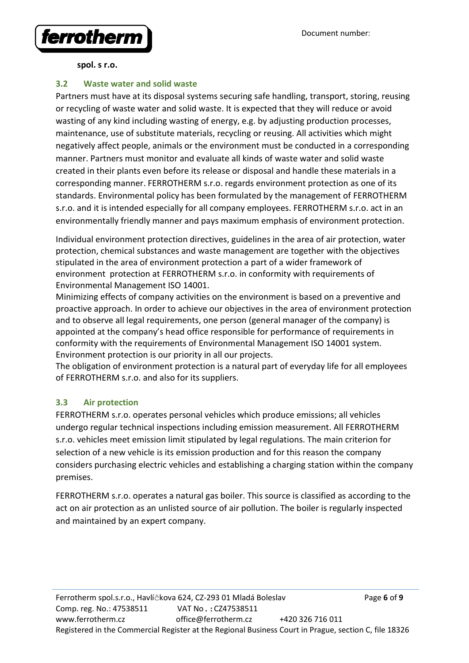

### 3.2 Waste water and solid waste

Partners must have at its disposal systems securing safe handling, transport, storing, reusing or recycling of waste water and solid waste. It is expected that they will reduce or avoid wasting of any kind including wasting of energy, e.g. by adjusting production processes, maintenance, use of substitute materials, recycling or reusing. All activities which might negatively affect people, animals or the environment must be conducted in a corresponding manner. Partners must monitor and evaluate all kinds of waste water and solid waste created in their plants even before its release or disposal and handle these materials in a corresponding manner. FERROTHERM s.r.o. regards environment protection as one of its standards. Environmental policy has been formulated by the management of FERROTHERM s.r.o. and it is intended especially for all company employees. FERROTHERM s.r.o. act in an environmentally friendly manner and pays maximum emphasis of environment protection.

Individual environment protection directives, guidelines in the area of air protection, water protection, chemical substances and waste management are together with the objectives stipulated in the area of environment protection a part of a wider framework of environment protection at FERROTHERM s.r.o. in conformity with requirements of Environmental Management ISO 14001.

Minimizing effects of company activities on the environment is based on a preventive and proactive approach. In order to achieve our objectives in the area of environment protection and to observe all legal requirements, one person (general manager of the company) is appointed at the company's head office responsible for performance of requirements in conformity with the requirements of Environmental Management ISO 14001 system. Environment protection is our priority in all our projects.

The obligation of environment protection is a natural part of everyday life for all employees of FERROTHERM s.r.o. and also for its suppliers.

### 3.3 Air protection

FERROTHERM s.r.o. operates personal vehicles which produce emissions; all vehicles undergo regular technical inspections including emission measurement. All FERROTHERM s.r.o. vehicles meet emission limit stipulated by legal regulations. The main criterion for selection of a new vehicle is its emission production and for this reason the company considers purchasing electric vehicles and establishing a charging station within the company premises.

FERROTHERM s.r.o. operates a natural gas boiler. This source is classified as according to the act on air protection as an unlisted source of air pollution. The boiler is regularly inspected and maintained by an expert company.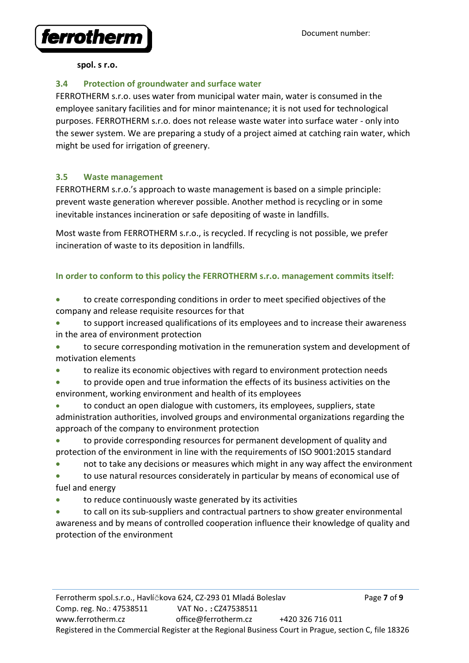

### 3.4 Protection of groundwater and surface water

FERROTHERM s.r.o. uses water from municipal water main, water is consumed in the employee sanitary facilities and for minor maintenance; it is not used for technological purposes. FERROTHERM s.r.o. does not release waste water into surface water - only into the sewer system. We are preparing a study of a project aimed at catching rain water, which might be used for irrigation of greenery.

### 3.5 Waste management

FERROTHERM s.r.o.'s approach to waste management is based on a simple principle: prevent waste generation wherever possible. Another method is recycling or in some inevitable instances incineration or safe depositing of waste in landfills.

Most waste from FERROTHERM s.r.o., is recycled. If recycling is not possible, we prefer incineration of waste to its deposition in landfills.

## In order to conform to this policy the FERROTHERM s.r.o. management commits itself:

 to create corresponding conditions in order to meet specified objectives of the company and release requisite resources for that

 to support increased qualifications of its employees and to increase their awareness in the area of environment protection

 to secure corresponding motivation in the remuneration system and development of motivation elements

- to realize its economic objectives with regard to environment protection needs
- to provide open and true information the effects of its business activities on the environment, working environment and health of its employees
- to conduct an open dialogue with customers, its employees, suppliers, state administration authorities, involved groups and environmental organizations regarding the approach of the company to environment protection

 to provide corresponding resources for permanent development of quality and protection of the environment in line with the requirements of ISO 9001:2015 standard

not to take any decisions or measures which might in any way affect the environment

 to use natural resources considerately in particular by means of economical use of fuel and energy

to reduce continuously waste generated by its activities

 to call on its sub-suppliers and contractual partners to show greater environmental awareness and by means of controlled cooperation influence their knowledge of quality and protection of the environment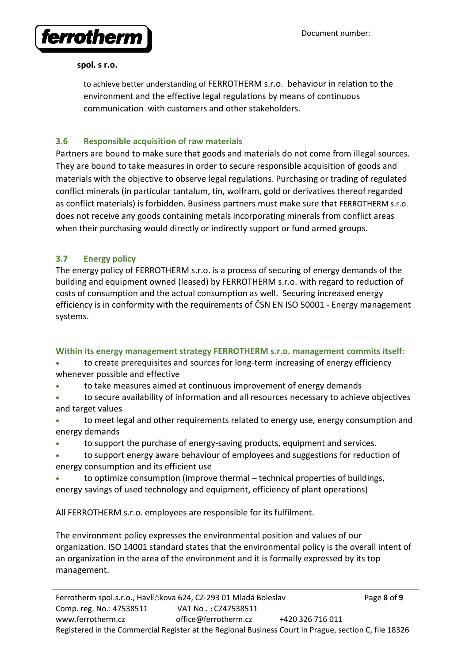

to achieve better understanding of FERROTHERM s.r.o. behaviour in relation to the environment and the effective legal regulations by means of continuous communication with customers and other stakeholders.

## 3.6 Responsible acquisition of raw materials

Partners are bound to make sure that goods and materials do not come from illegal sources. They are bound to take measures in order to secure responsible acquisition of goods and materials with the objective to observe legal regulations. Purchasing or trading of regulated conflict minerals (in particular tantalum, tin, wolfram, gold or derivatives thereof regarded as conflict materials) is forbidden. Business partners must make sure that FERROTHERM s.r.o. does not receive any goods containing metals incorporating minerals from conflict areas when their purchasing would directly or indirectly support or fund armed groups.

# 3.7 Energy policy

The energy policy of FERROTHERM s.r.o. is a process of securing of energy demands of the building and equipment owned (leased) by FERROTHERM s.r.o. with regard to reduction of costs of consumption and the actual consumption as well. Securing increased energy efficiency is in conformity with the requirements of ČSN EN ISO 50001 - Energy management systems.

## Within its energy management strategy FERROTHERM s.r.o. management commits itself:

- to create prerequisites and sources for long-term increasing of energy efficiency whenever possible and effective
- to take measures aimed at continuous improvement of energy demands
- to secure availability of information and all resources necessary to achieve objectives and target values
- to meet legal and other requirements related to energy use, energy consumption and energy demands
- to support the purchase of energy-saving products, equipment and services.
- to support energy aware behaviour of employees and suggestions for reduction of energy consumption and its efficient use
- to optimize consumption (improve thermal technical properties of buildings, energy savings of used technology and equipment, efficiency of plant operations)

All FERROTHERM s.r.o. employees are responsible for its fulfilment.

The environment policy expresses the environmental position and values of our organization. ISO 14001 standard states that the environmental policy is the overall intent of an organization in the area of the environment and it is formally expressed by its top management.